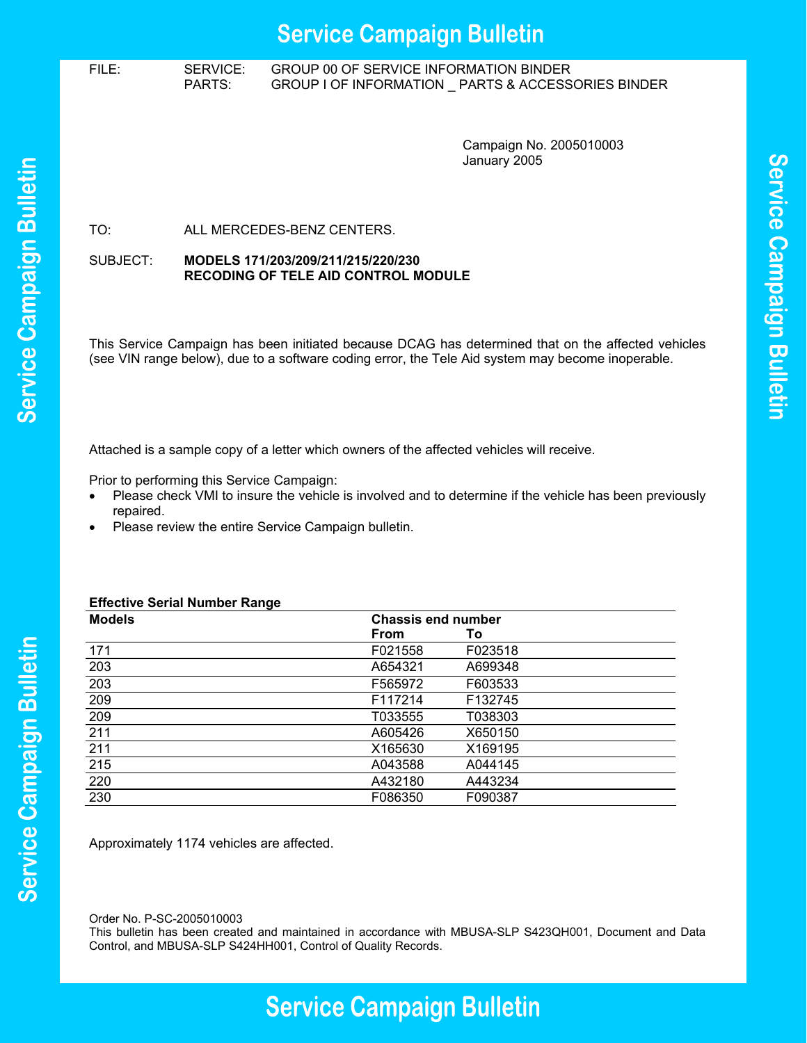# FILE: SERVICE: GROUP 00 OF SERVICE INFORMATION BINDER PARTS: GROUP I OF INFORMATION \_ PARTS & ACCESSORIES BINDER

Campaign No. 2005010003 January 2005

Service Campaign Bulletin

TO: ALL MERCEDES-BENZ CENTERS.

#### SUBJECT: **MODELS 171/203/209/211/215/220/230 RECODING OF TELE AID CONTROL MODULE**

This Service Campaign has been initiated because DCAG has determined that on the affected vehicles (see VIN range below), due to a software coding error, the Tele Aid system may become inoperable.

Attached is a sample copy of a letter which owners of the affected vehicles will receive.

Prior to performing this Service Campaign:

- Please check VMI to insure the vehicle is involved and to determine if the vehicle has been previously repaired.
- Please review the entire Service Campaign bulletin.

# **Effective Serial Number Range**

| ∵.<br><b>Models</b> | <b>Chassis end number</b> |         |  |
|---------------------|---------------------------|---------|--|
|                     | <b>From</b>               | Τo      |  |
| 171                 | F021558                   | F023518 |  |
| 203                 | A654321                   | A699348 |  |
| 203                 | F565972                   | F603533 |  |
| 209                 | F117214                   | F132745 |  |
| 209                 | T033555                   | T038303 |  |
| 211                 | A605426                   | X650150 |  |
| 211                 | X165630                   | X169195 |  |
| 215                 | A043588                   | A044145 |  |
| 220                 | A432180                   | A443234 |  |
| 230                 | F086350                   | F090387 |  |

Approximately 1174 vehicles are affected.

Order No. P-SC-2005010003

This bulletin has been created and maintained in accordance with MBUSA-SLP S423QH001, Document and Data Control, and MBUSA-SLP S424HH001, Control of Quality Records.

# **Service Campaign Bulletin**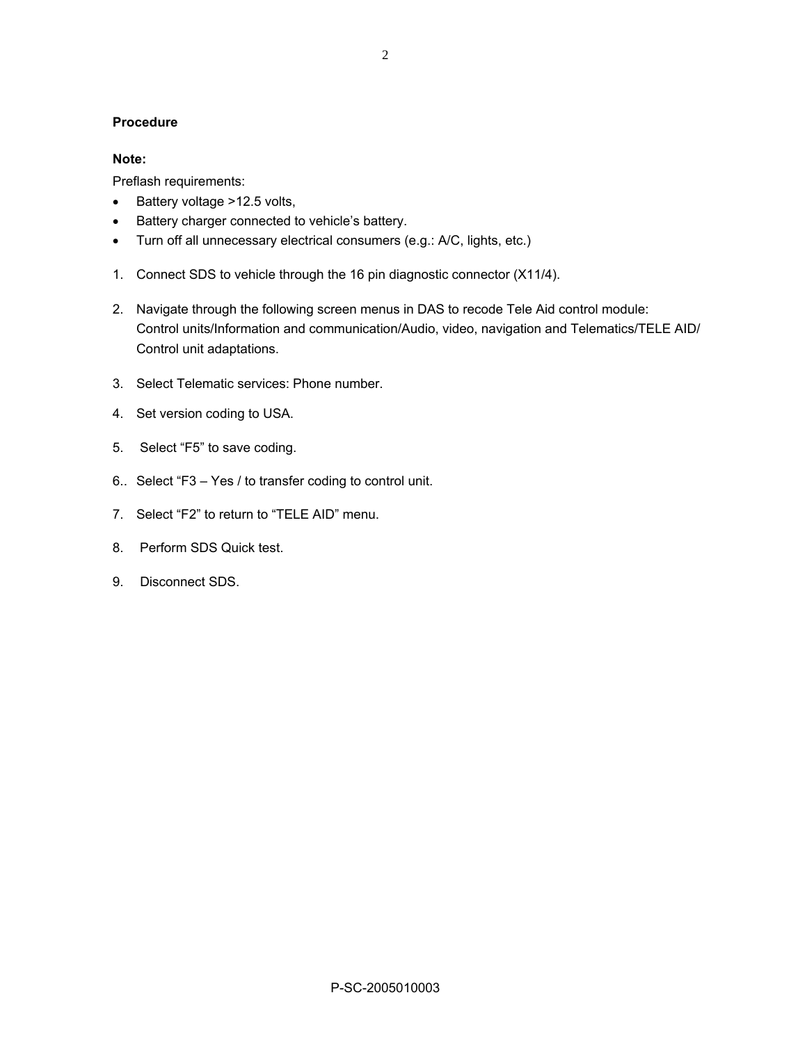### **Procedure**

#### **Note:**

Preflash requirements:

- Battery voltage >12.5 volts,
- Battery charger connected to vehicle's battery.
- Turn off all unnecessary electrical consumers (e.g.: A/C, lights, etc.)
- 1. Connect SDS to vehicle through the 16 pin diagnostic connector (X11/4).
- 2. Navigate through the following screen menus in DAS to recode Tele Aid control module: Control units/Information and communication/Audio, video, navigation and Telematics/TELE AID/ Control unit adaptations.
- 3. Select Telematic services: Phone number.
- 4. Set version coding to USA.
- 5. Select "F5" to save coding.
- 6.. Select "F3 Yes / to transfer coding to control unit.
- 7. Select "F2" to return to "TELE AID" menu.
- 8. Perform SDS Quick test.
- 9. Disconnect SDS.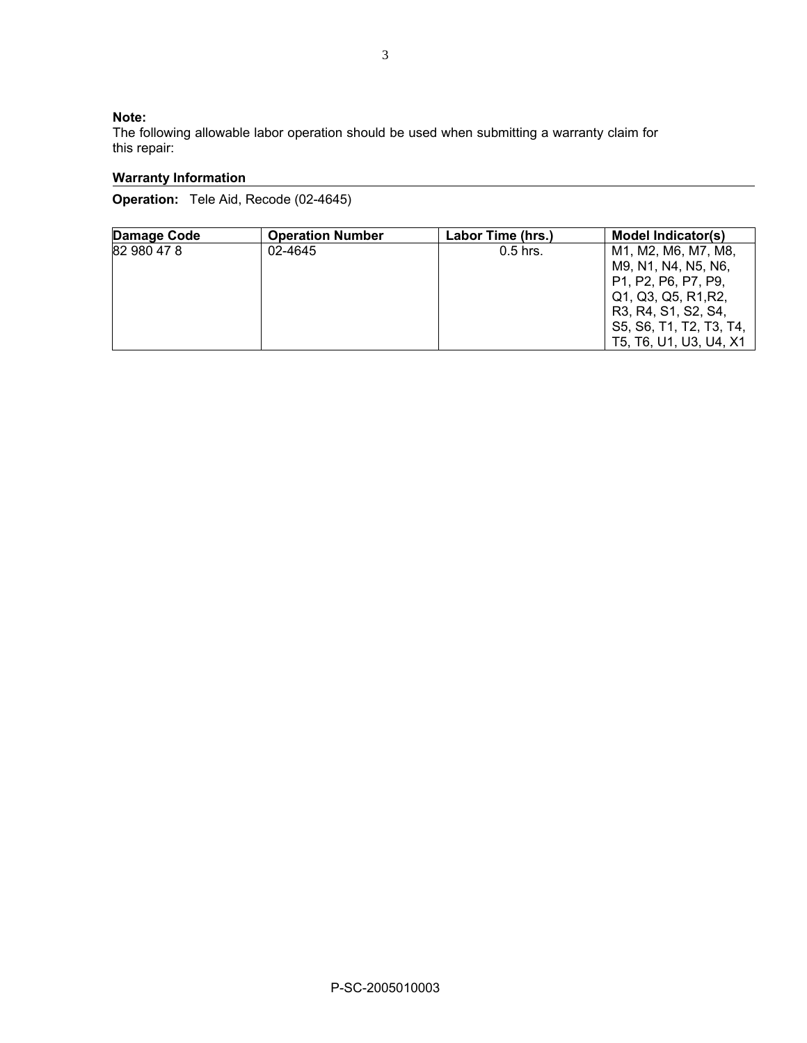## **Note:**

The following allowable labor operation should be used when submitting a warranty claim for this repair:

# **Warranty Information**

**Operation:** Tele Aid, Recode (02-4645)

| Damage Code | <b>Operation Number</b> | Labor Time (hrs.) | Model Indicator(s)                                                                                                                                                                                                                    |
|-------------|-------------------------|-------------------|---------------------------------------------------------------------------------------------------------------------------------------------------------------------------------------------------------------------------------------|
| 82 980 47 8 | 02-4645                 | $0.5$ hrs.        | M1, M2, M6, M7, M8,<br>M9, N1, N4, N5, N6,<br>P <sub>1</sub> , P <sub>2</sub> , P <sub>6</sub> , P <sub>7</sub> , P <sub>9</sub> ,<br>Q1, Q3, Q5, R1, R2,<br>R3, R4, S1, S2, S4,<br>S5, S6, T1, T2, T3, T4,<br>T5, T6, U1, U3, U4, X1 |